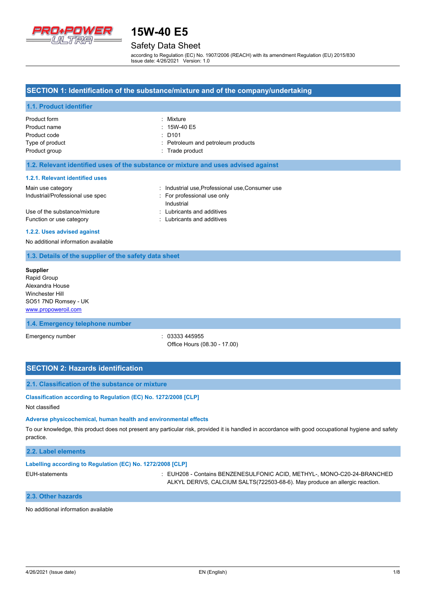

# Safety Data Sheet

according to Regulation (EC) No. 1907/2006 (REACH) with its amendment Regulation (EU) 2015/830 Issue date: 4/26/2021 Version: 1.0

### **SECTION 1: Identification of the substance/mixture and of the company/undertaking**

### **1.1. Product identifier**

| Product form    | : Mixture                          |
|-----------------|------------------------------------|
| Product name    | $: 15W-40E5$                       |
| Product code    | $\therefore$ D101                  |
| Type of product | : Petroleum and petroleum products |
| Product group   | : Trade product                    |

#### **1.2. Relevant identified uses of the substance or mixture and uses advised against**

#### **1.2.1. Relevant identified uses**

| Main use category                | : Industrial use Professional use Consumer use |
|----------------------------------|------------------------------------------------|
| Industrial/Professional use spec | For professional use only                      |
|                                  | Industrial                                     |
| Use of the substance/mixture     | : Lubricants and additives                     |
| Function or use category         | : Lubricants and additives                     |

#### **1.2.2. Uses advised against**

No additional information available

### **1.3. Details of the supplier of the safety data sheet**

**Supplier** Rapid Group Alexandra House Winchester Hill SO51 7ND Romsey - UK <www.propoweroil.com>

#### **1.4. Emergency telephone number**

Emergency number : 03333 445955 Office Hours (08.30 - 17.00)

## **SECTION 2: Hazards identification**

#### **2.1. Classification of the substance or mixture**

**Classification according to Regulation (EC) No. 1272/2008 [CLP]**

## Not classified

#### **Adverse physicochemical, human health and environmental effects**

To our knowledge, this product does not present any particular risk, provided it is handled in accordance with good occupational hygiene and safety practice.

### **2.2. Label elements**

#### **Labelling according to Regulation (EC) No. 1272/2008 [CLP]**

EUH-statements : EUH208 - Contains BENZENESULFONIC ACID, METHYL-, MONO-C20-24-BRANCHED ALKYL DERIVS, CALCIUM SALTS(722503-68-6). May produce an allergic reaction.

## **2.3. Other hazards**

No additional information available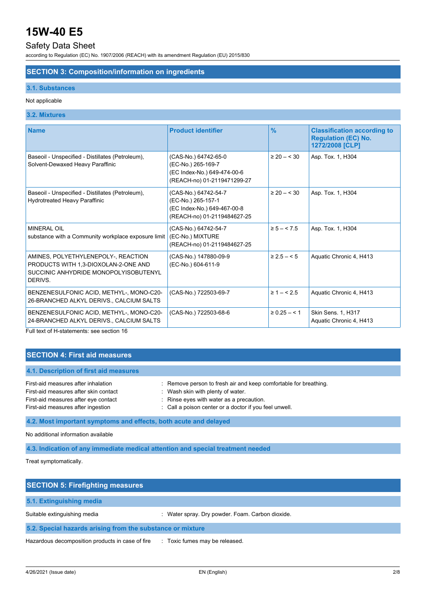# Safety Data Sheet

according to Regulation (EC) No. 1907/2006 (REACH) with its amendment Regulation (EU) 2015/830

### **SECTION 3: Composition/information on ingredients**

#### **3.1. Substances**

### Not applicable

### **3.2. Mixtures**

| <b>Name</b>                                                                                                                     | <b>Product identifier</b>                                                                                | $\frac{9}{6}$     | <b>Classification according to</b><br><b>Regulation (EC) No.</b><br>1272/2008 [CLP] |
|---------------------------------------------------------------------------------------------------------------------------------|----------------------------------------------------------------------------------------------------------|-------------------|-------------------------------------------------------------------------------------|
| Baseoil - Unspecified - Distillates (Petroleum),<br>Solvent-Dewaxed Heavy Paraffinic                                            | (CAS-No.) 64742-65-0<br>(EC-No.) 265-169-7<br>(EC Index-No.) 649-474-00-6<br>(REACH-no) 01-2119471299-27 | $\geq 20 - 530$   | Asp. Tox. 1, H304                                                                   |
| Baseoil - Unspecified - Distillates (Petroleum),<br>Hydrotreated Heavy Paraffinic                                               | (CAS-No.) 64742-54-7<br>(EC-No.) 265-157-1<br>(EC Index-No.) 649-467-00-8<br>(REACH-no) 01-2119484627-25 | $\geq 20 - 530$   | Asp. Tox. 1, H304                                                                   |
| <b>MINERAL OIL</b><br>substance with a Community workplace exposure limit                                                       | (CAS-No.) 64742-54-7<br>(EC-No.) MIXTURE<br>(REACH-no) 01-2119484627-25                                  | $\ge 5 - 5.5$     | Asp. Tox. 1, H304                                                                   |
| AMINES, POLYETHYLENEPOLY-, REACTION<br>PRODUCTS WITH 1,3-DIOXOLAN-2-ONE AND<br>SUCCINIC ANHYDRIDE MONOPOLYISOBUTENYL<br>DERIVS. | (CAS-No.) 147880-09-9<br>(EC-No.) 604-611-9                                                              | $\geq 2.5 - 5$    | Aquatic Chronic 4, H413                                                             |
| BENZENESULFONIC ACID, METHYL-, MONO-C20-<br>26-BRANCHED ALKYL DERIVS., CALCIUM SALTS                                            | (CAS-No.) 722503-69-7                                                                                    | $\geq 1 - 5.5$    | Aquatic Chronic 4, H413                                                             |
| BENZENESULFONIC ACID, METHYL-, MONO-C20-<br>24-BRANCHED ALKYL DERIVS., CALCIUM SALTS                                            | (CAS-No.) 722503-68-6                                                                                    | $\geq 0.25 - 5.1$ | Skin Sens. 1, H317<br>Aquatic Chronic 4, H413                                       |

Full text of H-statements: see section 16

## **SECTION 4: First aid measures**

## **4.1. Description of first aid measures**

| First-aid measures after inhalation   | : Remove person to fresh air and keep comfortable for breathing. |
|---------------------------------------|------------------------------------------------------------------|
| First-aid measures after skin contact | Wash skin with plenty of water.                                  |
| First-aid measures after eye contact  | Rinse eyes with water as a precaution.                           |
| First-aid measures after ingestion    | : Call a poison center or a doctor if you feel unwell.           |
|                                       |                                                                  |

**4.2. Most important symptoms and effects, both acute and delayed**

No additional information available

**4.3. Indication of any immediate medical attention and special treatment needed**

Treat symptomatically.

| <b>SECTION 5: Firefighting measures</b>                    |                                                  |  |  |
|------------------------------------------------------------|--------------------------------------------------|--|--|
| 5.1. Extinguishing media                                   |                                                  |  |  |
| Suitable extinguishing media                               | : Water spray. Dry powder. Foam. Carbon dioxide. |  |  |
| 5.2. Special hazards arising from the substance or mixture |                                                  |  |  |
| Hazardous decomposition products in case of fire           | : Toxic fumes may be released.                   |  |  |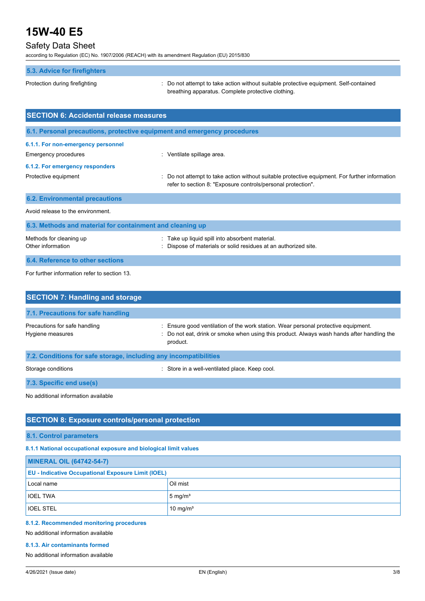# Safety Data Sheet

according to Regulation (EC) No. 1907/2006 (REACH) with its amendment Regulation (EU) 2015/830

Protection during firefighting  $\blacksquare$ : Do not attempt to take action without suitable protective equipment. Self-contained breathing apparatus. Complete protective clothing.

| <b>SECTION 6: Accidental release measures</b>                            |                                                                                                                                                                |  |  |
|--------------------------------------------------------------------------|----------------------------------------------------------------------------------------------------------------------------------------------------------------|--|--|
| 6.1. Personal precautions, protective equipment and emergency procedures |                                                                                                                                                                |  |  |
| 6.1.1. For non-emergency personnel<br>Emergency procedures               | : Ventilate spillage area.                                                                                                                                     |  |  |
| 6.1.2. For emergency responders                                          |                                                                                                                                                                |  |  |
| Protective equipment                                                     | : Do not attempt to take action without suitable protective equipment. For further information<br>refer to section 8: "Exposure controls/personal protection". |  |  |
| <b>6.2. Environmental precautions</b>                                    |                                                                                                                                                                |  |  |
| Avoid release to the environment.                                        |                                                                                                                                                                |  |  |
| 6.3. Methods and material for containment and cleaning up                |                                                                                                                                                                |  |  |
| Methods for cleaning up<br>Other information                             | : Take up liquid spill into absorbent material.<br>: Dispose of materials or solid residues at an authorized site.                                             |  |  |
| 6.4. Reference to other sections                                         |                                                                                                                                                                |  |  |

For further information refer to section 13.

| <b>SECTION 7: Handling and storage</b>                            |                                                                                                                                                                                          |
|-------------------------------------------------------------------|------------------------------------------------------------------------------------------------------------------------------------------------------------------------------------------|
| 7.1. Precautions for safe handling                                |                                                                                                                                                                                          |
| Precautions for safe handling<br>Hygiene measures                 | Ensure good ventilation of the work station. Wear personal protective equipment.<br>Do not eat, drink or smoke when using this product. Always wash hands after handling the<br>product. |
| 7.2. Conditions for safe storage, including any incompatibilities |                                                                                                                                                                                          |
| Storage conditions                                                | : Store in a well-ventilated place. Keep cool.                                                                                                                                           |
| 7.3. Specific end use(s)                                          |                                                                                                                                                                                          |
| No additional information available                               |                                                                                                                                                                                          |

# **SECTION 8: Exposure controls/personal protection**

### **8.1. Control parameters**

**8.1.1 National occupational exposure and biological limit values**

| <b>MINERAL OIL (64742-54-7)</b>                           |                      |  |
|-----------------------------------------------------------|----------------------|--|
| <b>EU - Indicative Occupational Exposure Limit (IOEL)</b> |                      |  |
| Local name                                                | Oil mist             |  |
| <b>IOEL TWA</b>                                           | $5 \text{ mg/m}^3$   |  |
| <b>IOEL STEL</b>                                          | 10 mg/m <sup>3</sup> |  |

#### **8.1.2. Recommended monitoring procedures**

No additional information available

## **8.1.3. Air contaminants formed**

No additional information available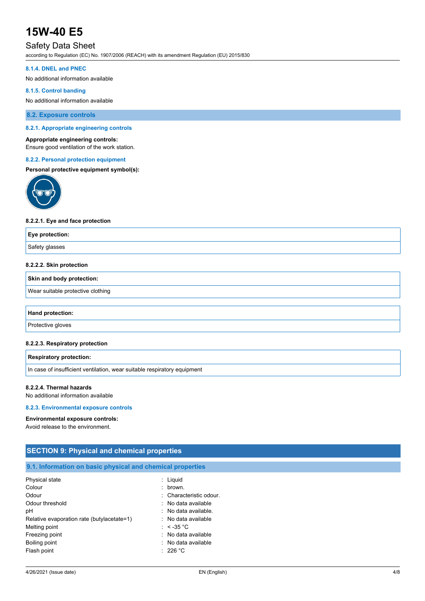# Safety Data Sheet

according to Regulation (EC) No. 1907/2006 (REACH) with its amendment Regulation (EU) 2015/830

#### **8.1.4. DNEL and PNEC**

No additional information available

### **8.1.5. Control banding**

No additional information available

**8.2. Exposure controls**

#### **8.2.1. Appropriate engineering controls**

#### **Appropriate engineering controls:**

Ensure good ventilation of the work station.

#### **8.2.2. Personal protection equipment**

#### **Personal protective equipment symbol(s):**



#### **8.2.2.1. Eye and face protection**

| Safety glasses | Eye protection: |  |
|----------------|-----------------|--|
|                |                 |  |

#### **8.2.2.2. Skin protection**

#### **Skin and body protection:**

Wear suitable protective clothing

#### **Hand protection:**

Protective gloves

#### **8.2.2.3. Respiratory protection**

### **Respiratory protection:**

In case of insufficient ventilation, wear suitable respiratory equipment

#### **8.2.2.4. Thermal hazards**

No additional information available

#### **8.2.3. Environmental exposure controls**

#### **Environmental exposure controls:**

Avoid release to the environment.

| <b>SECTION 9: Physical and chemical properties</b>         |                         |  |  |
|------------------------------------------------------------|-------------------------|--|--|
| 9.1. Information on basic physical and chemical properties |                         |  |  |
| Physical state                                             | $:$ Liquid              |  |  |
| Colour                                                     | $:$ brown.              |  |  |
| Odour                                                      | : Characteristic odour. |  |  |
| Odour threshold                                            | : No data available     |  |  |
| рH                                                         | : No data available.    |  |  |
| Relative evaporation rate (butylacetate=1)                 | : No data available     |  |  |
| Melting point                                              | : $<$ -35 °C            |  |  |
| Freezing point                                             | : No data available     |  |  |
| Boiling point                                              | : No data available     |  |  |
| Flash point                                                | : 226 °C                |  |  |
|                                                            |                         |  |  |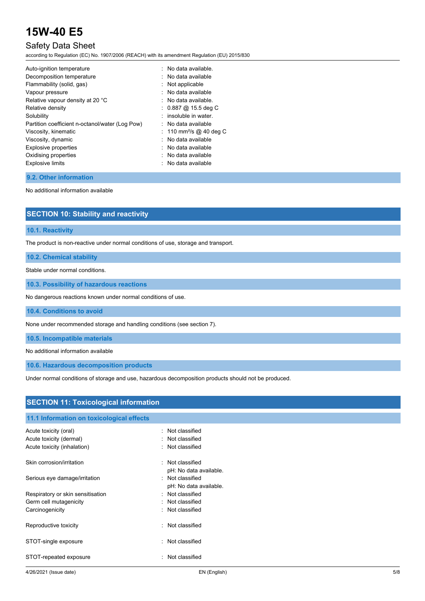# Safety Data Sheet

according to Regulation (EC) No. 1907/2006 (REACH) with its amendment Regulation (EU) 2015/830

| Auto-ignition temperature                       | : No data available.                |
|-------------------------------------------------|-------------------------------------|
| Decomposition temperature                       | No data available                   |
| Flammability (solid, gas)                       | $:$ Not applicable                  |
| Vapour pressure                                 | No data available                   |
| Relative vapour density at 20 °C                | $\therefore$ No data available.     |
| Relative density                                | $: 0.887 \ @ 15.5 \text{ deg } C$   |
| Solubility                                      | insoluble in water.                 |
| Partition coefficient n-octanol/water (Log Pow) | $:$ No data available               |
| Viscosity, kinematic                            | : 110 mm <sup>2</sup> /s @ 40 deg C |
| Viscosity, dynamic                              | : No data available                 |
| <b>Explosive properties</b>                     | No data available                   |
| Oxidising properties                            | $:$ No data available               |
| <b>Explosive limits</b>                         | No data available                   |
|                                                 |                                     |

## **9.2. Other information**

No additional information available

| <b>SECTION 10: Stability and reactivity</b> |  |
|---------------------------------------------|--|
|---------------------------------------------|--|

## **10.1. Reactivity**

The product is non-reactive under normal conditions of use, storage and transport.

**10.2. Chemical stability**

Stable under normal conditions.

**10.3. Possibility of hazardous reactions**

No dangerous reactions known under normal conditions of use.

**10.4. Conditions to avoid**

None under recommended storage and handling conditions (see section 7).

**10.5. Incompatible materials**

No additional information available

**10.6. Hazardous decomposition products**

Under normal conditions of storage and use, hazardous decomposition products should not be produced.

| <b>SECTION 11: Toxicological information</b> |                                               |  |
|----------------------------------------------|-----------------------------------------------|--|
| 11.1 Information on toxicological effects    |                                               |  |
| Acute toxicity (oral)                        | : Not classified                              |  |
| Acute toxicity (dermal)                      | : Not classified                              |  |
| Acute toxicity (inhalation)                  | : Not classified                              |  |
| Skin corrosion/irritation                    | : Not classified                              |  |
|                                              | pH: No data available.                        |  |
| Serious eye damage/irritation                | : Not classified                              |  |
|                                              | pH: No data available.                        |  |
| Respiratory or skin sensitisation            | : Not classified                              |  |
| Germ cell mutagenicity                       | : Not classified                              |  |
| Carcinogenicity                              | : Not classified                              |  |
| Reproductive toxicity                        | Not classified<br>$\mathcal{C}_{\mathcal{A}}$ |  |
| STOT-single exposure                         | : Not classified                              |  |
| STOT-repeated exposure                       | Not classified<br>٠.                          |  |
|                                              |                                               |  |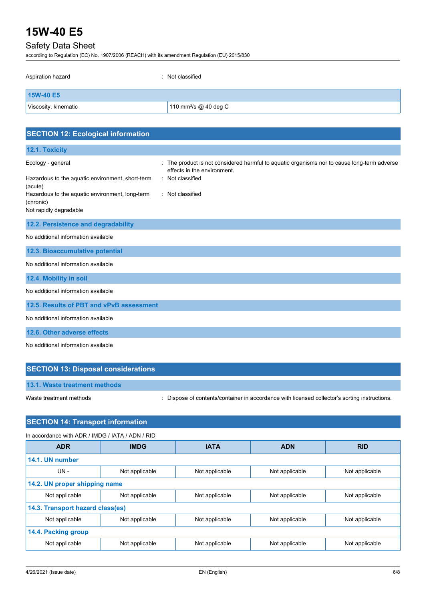# Safety Data Sheet

according to Regulation (EC) No. 1907/2006 (REACH) with its amendment Regulation (EU) 2015/830

| Aspiration hazard    | : Not classified                  |
|----------------------|-----------------------------------|
| 15W-40 E5            |                                   |
| Viscosity, kinematic | 110 mm <sup>2</sup> /s @ 40 deg C |

| <b>SECTION 12: Ecological information</b>                                                                                           |                                                                                                                                                                        |
|-------------------------------------------------------------------------------------------------------------------------------------|------------------------------------------------------------------------------------------------------------------------------------------------------------------------|
| 12.1. Toxicity                                                                                                                      |                                                                                                                                                                        |
| Ecology - general<br>Hazardous to the aquatic environment, short-term<br>(acute)<br>Hazardous to the aquatic environment, long-term | The product is not considered harmful to aquatic organisms nor to cause long-term adverse<br>÷.<br>effects in the environment.<br>: Not classified<br>: Not classified |
| (chronic)<br>Not rapidly degradable                                                                                                 |                                                                                                                                                                        |
|                                                                                                                                     |                                                                                                                                                                        |
| 12.2. Persistence and degradability                                                                                                 |                                                                                                                                                                        |
| No additional information available                                                                                                 |                                                                                                                                                                        |
| 12.3. Bioaccumulative potential                                                                                                     |                                                                                                                                                                        |
| No additional information available                                                                                                 |                                                                                                                                                                        |
| 12.4. Mobility in soil                                                                                                              |                                                                                                                                                                        |
| No additional information available                                                                                                 |                                                                                                                                                                        |
| 12.5. Results of PBT and vPvB assessment                                                                                            |                                                                                                                                                                        |
| No additional information available                                                                                                 |                                                                                                                                                                        |
| 12.6. Other adverse effects                                                                                                         |                                                                                                                                                                        |
| No additional information available                                                                                                 |                                                                                                                                                                        |

| <b>SECTION 13: Disposal considerations</b> |                                                                                               |  |
|--------------------------------------------|-----------------------------------------------------------------------------------------------|--|
| 13.1. Waste treatment methods              |                                                                                               |  |
| Waste treatment methods                    | : Dispose of contents/container in accordance with licensed collector's sorting instructions. |  |

# **SECTION 14: Transport information**

| In accordance with ADR / IMDG / IATA / ADN / RID |                |                |                |                |
|--------------------------------------------------|----------------|----------------|----------------|----------------|
| <b>ADR</b>                                       | <b>IMDG</b>    | <b>IATA</b>    | <b>ADN</b>     | <b>RID</b>     |
| 14.1. UN number                                  |                |                |                |                |
| $UN -$                                           | Not applicable | Not applicable | Not applicable | Not applicable |
| 14.2. UN proper shipping name                    |                |                |                |                |
| Not applicable                                   | Not applicable | Not applicable | Not applicable | Not applicable |
| 14.3. Transport hazard class(es)                 |                |                |                |                |
| Not applicable                                   | Not applicable | Not applicable | Not applicable | Not applicable |
| 14.4. Packing group                              |                |                |                |                |
| Not applicable                                   | Not applicable | Not applicable | Not applicable | Not applicable |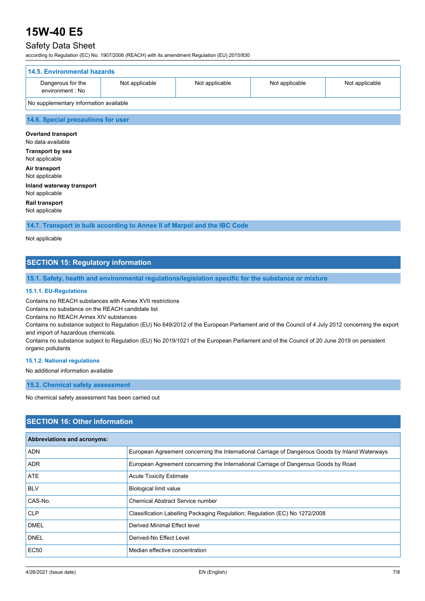# Safety Data Sheet

according to Regulation (EC) No. 1907/2006 (REACH) with its amendment Regulation (EU) 2015/830

| 14.5. Environmental hazards            |                |                |                |                |
|----------------------------------------|----------------|----------------|----------------|----------------|
| Dangerous for the<br>environment : No  | Not applicable | Not applicable | Not applicable | Not applicable |
| No supplementary information available |                |                |                |                |

#### **14.6. Special precautions for user**

**Overland transport** No data available **Transport by sea** Not applicable **Air transport** Not applicable **Inland waterway transport** Not applicable

**Rail transport** Not applicable

**14.7. Transport in bulk according to Annex II of Marpol and the IBC Code**

Not applicable

# **SECTION 15: Regulatory information**

**15.1. Safety, health and environmental regulations/legislation specific for the substance or mixture**

#### **15.1.1. EU-Regulations**

Contains no REACH substances with Annex XVII restrictions

Contains no substance on the REACH candidate list

Contains no REACH Annex XIV substances

Contains no substance subject to Regulation (EU) No 649/2012 of the European Parliament and of the Council of 4 July 2012 concerning the export and import of hazardous chemicals.

Contains no substance subject to Regulation (EU) No 2019/1021 of the European Parliament and of the Council of 20 June 2019 on persistent organic pollutants

#### **15.1.2. National regulations**

No additional information available

**15.2. Chemical safety assessment**

No chemical safety assessment has been carried out

## **SECTION 16: Other information**

| Abbreviations and acronyms: |                                                                                                 |
|-----------------------------|-------------------------------------------------------------------------------------------------|
| <b>ADN</b>                  | European Agreement concerning the International Carriage of Dangerous Goods by Inland Waterways |
| <b>ADR</b>                  | European Agreement concerning the International Carriage of Dangerous Goods by Road             |
| ATE                         | <b>Acute Toxicity Estimate</b>                                                                  |
| <b>BLV</b>                  | <b>Biological limit value</b>                                                                   |
| CAS-No.                     | <b>Chemical Abstract Service number</b>                                                         |
| <b>CLP</b>                  | Classification Labelling Packaging Regulation; Regulation (EC) No 1272/2008                     |
| <b>DMEL</b>                 | Derived Minimal Effect level                                                                    |
| <b>DNEL</b>                 | Derived-No Effect Level                                                                         |
| <b>EC50</b>                 | Median effective concentration                                                                  |